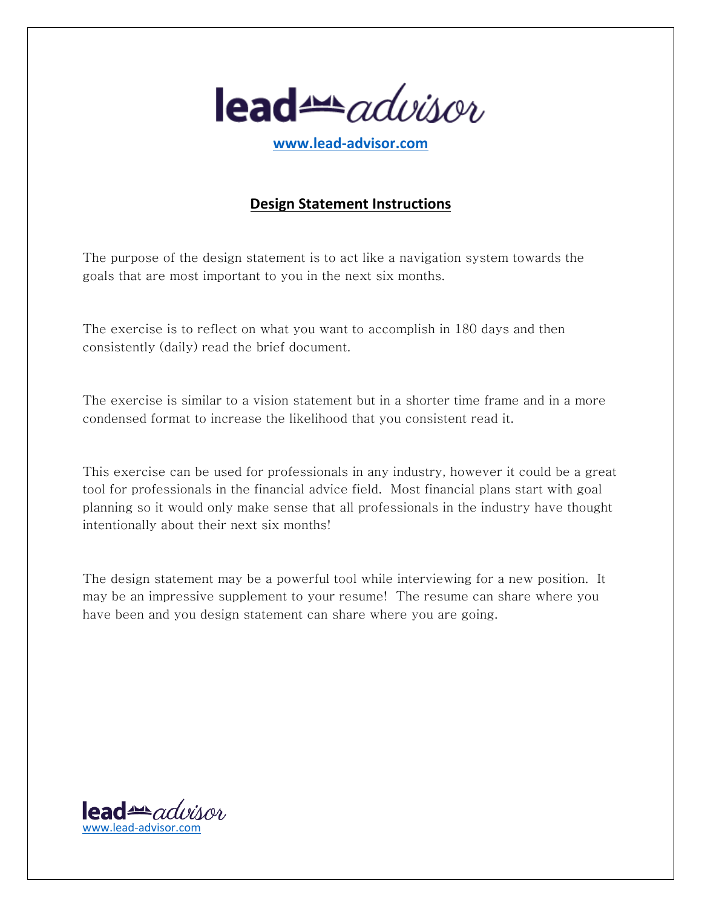

**www.lead-advisor.com**

## **Design Statement Instructions**

The purpose of the design statement is to act like a navigation system towards the goals that are most important to you in the next six months.

The exercise is to reflect on what you want to accomplish in 180 days and then consistently (daily) read the brief document.

The exercise is similar to a vision statement but in a shorter time frame and in a more condensed format to increase the likelihood that you consistent read it.

This exercise can be used for professionals in any industry, however it could be a great tool for professionals in the financial advice field. Most financial plans start with goal planning so it would only make sense that all professionals in the industry have thought intentionally about their next six months!

The design statement may be a powerful tool while interviewing for a new position. It may be an impressive supplement to your resume! The resume can share where you have been and you design statement can share where you are going.

lead<del>er</del>advisor www.lead-advisor.com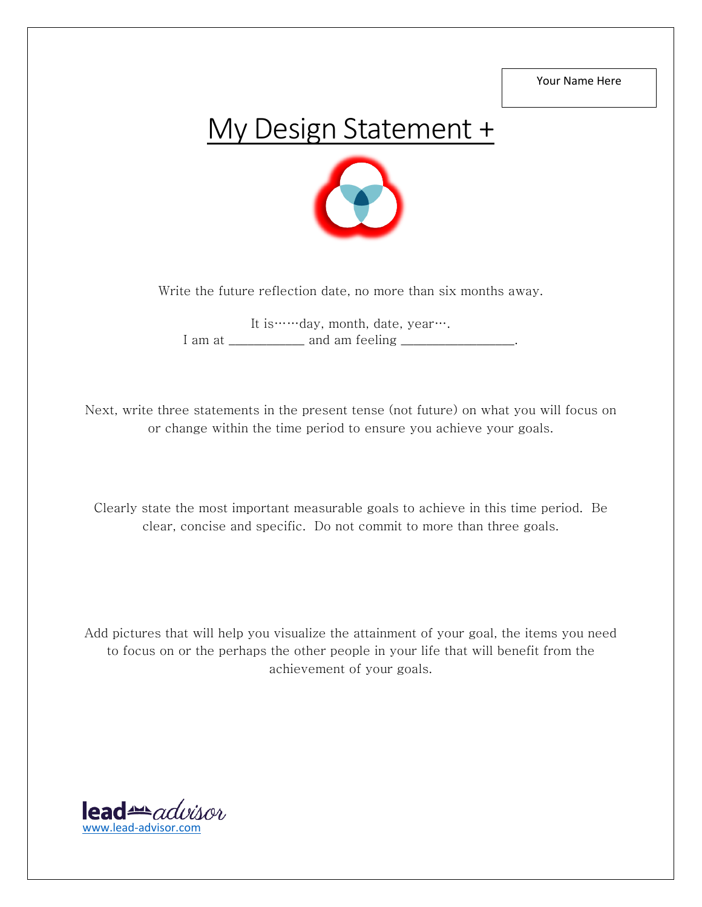Your Name Here

## My Design Statement +



Write the future reflection date, no more than six months away.

It is……day, month, date, year…. I am at \_\_\_\_\_\_\_\_\_\_\_\_\_ and am feeling \_\_\_\_\_\_\_\_\_\_\_\_\_\_\_\_\_.

Next, write three statements in the present tense (not future) on what you will focus on or change within the time period to ensure you achieve your goals.

Clearly state the most important measurable goals to achieve in this time period. Be clear, concise and specific. Do not commit to more than three goals.

Add pictures that will help you visualize the attainment of your goal, the items you need to focus on or the perhaps the other people in your life that will benefit from the achievement of your goals.

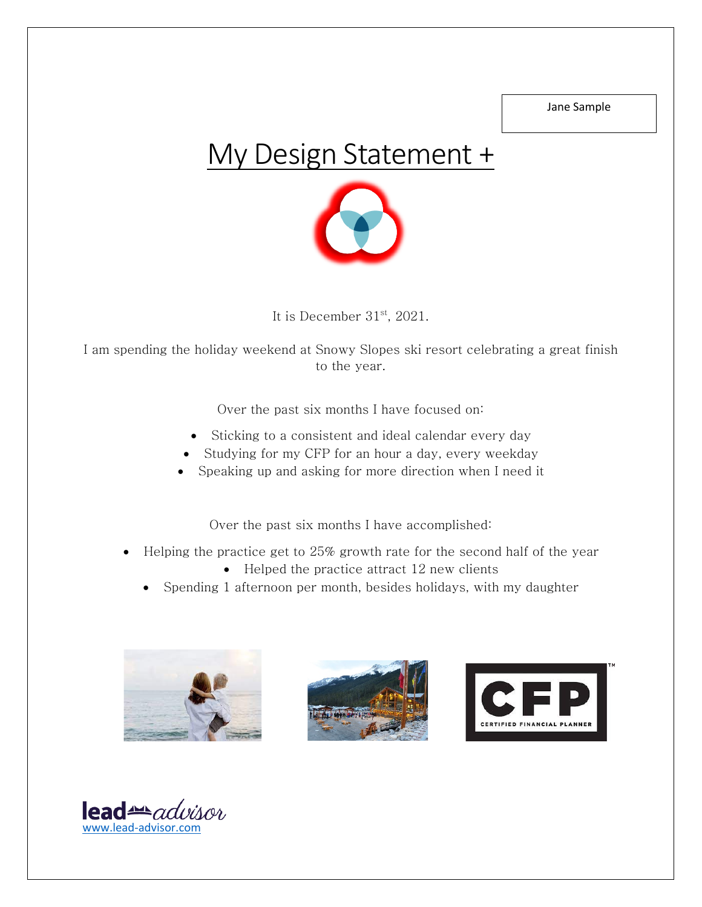Jane Sample

## My Design Statement +



It is December  $31<sup>st</sup>$ , 2021.

I am spending the holiday weekend at Snowy Slopes ski resort celebrating a great finish to the year.

Over the past six months I have focused on:

- Sticking to a consistent and ideal calendar every day
- Studying for my CFP for an hour a day, every weekday
- Speaking up and asking for more direction when I need it

Over the past six months I have accomplished:

- Helping the practice get to 25% growth rate for the second half of the year
	- Helped the practice attract 12 new clients
	- Spending 1 afternoon per month, besides holidays, with my daughter







 $\text{lead}$  advisor www.lead-advisor.com